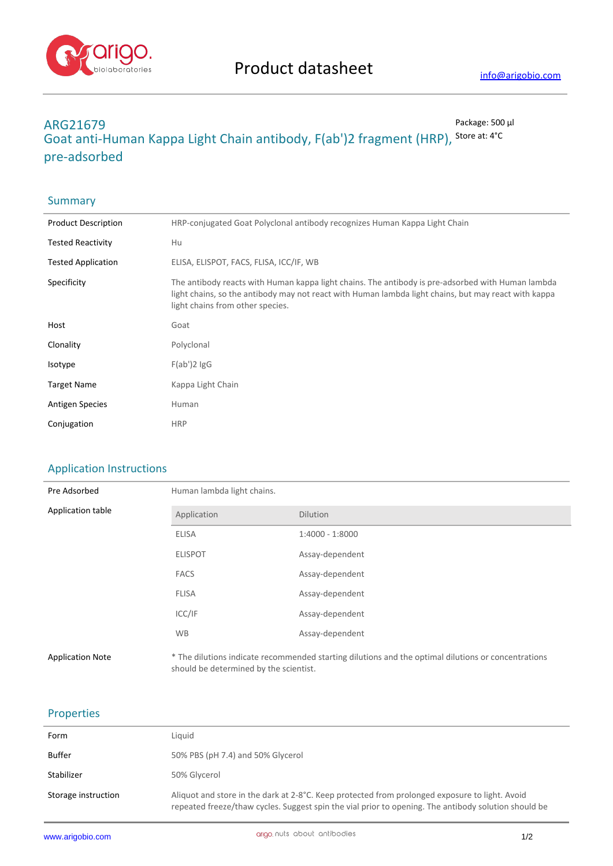

# **ARG21679** Package: 500 μl **Goat anti-Human Kappa Light Chain antibody, F(ab')2 fragment (HRP),** Store at: 4°C **pre-adsorbed**

| Summary                    |                                                                                                                                                                                                                                               |
|----------------------------|-----------------------------------------------------------------------------------------------------------------------------------------------------------------------------------------------------------------------------------------------|
| <b>Product Description</b> | HRP-conjugated Goat Polyclonal antibody recognizes Human Kappa Light Chain                                                                                                                                                                    |
| <b>Tested Reactivity</b>   | Hu                                                                                                                                                                                                                                            |
| <b>Tested Application</b>  | ELISA, ELISPOT, FACS, FLISA, ICC/IF, WB                                                                                                                                                                                                       |
| Specificity                | The antibody reacts with Human kappa light chains. The antibody is pre-adsorbed with Human lambda<br>light chains, so the antibody may not react with Human lambda light chains, but may react with kappa<br>light chains from other species. |
| Host                       | Goat                                                                                                                                                                                                                                          |
| Clonality                  | Polyclonal                                                                                                                                                                                                                                    |
| Isotype                    | $F(ab')2$ lgG                                                                                                                                                                                                                                 |
| <b>Target Name</b>         | Kappa Light Chain                                                                                                                                                                                                                             |
| <b>Antigen Species</b>     | Human                                                                                                                                                                                                                                         |
| Conjugation                | <b>HRP</b>                                                                                                                                                                                                                                    |

## Application Instructions

| Pre Adsorbed            | Human lambda light chains.             |                                                                                                     |
|-------------------------|----------------------------------------|-----------------------------------------------------------------------------------------------------|
| Application table       | Application                            | <b>Dilution</b>                                                                                     |
|                         | <b>ELISA</b>                           | 1:4000 - 1:8000                                                                                     |
|                         | <b>ELISPOT</b>                         | Assay-dependent                                                                                     |
|                         | <b>FACS</b>                            | Assay-dependent                                                                                     |
|                         | <b>FLISA</b>                           | Assay-dependent                                                                                     |
|                         | ICC/IF                                 | Assay-dependent                                                                                     |
|                         | <b>WB</b>                              | Assay-dependent                                                                                     |
| <b>Application Note</b> | should be determined by the scientist. | * The dilutions indicate recommended starting dilutions and the optimal dilutions or concentrations |

## Properties

| Form                | Liguid                                                                                                                                                                                                 |
|---------------------|--------------------------------------------------------------------------------------------------------------------------------------------------------------------------------------------------------|
| <b>Buffer</b>       | 50% PBS (pH 7.4) and 50% Glycerol                                                                                                                                                                      |
| Stabilizer          | 50% Glycerol                                                                                                                                                                                           |
| Storage instruction | Aliquot and store in the dark at 2-8°C. Keep protected from prolonged exposure to light. Avoid<br>repeated freeze/thaw cycles. Suggest spin the vial prior to opening. The antibody solution should be |